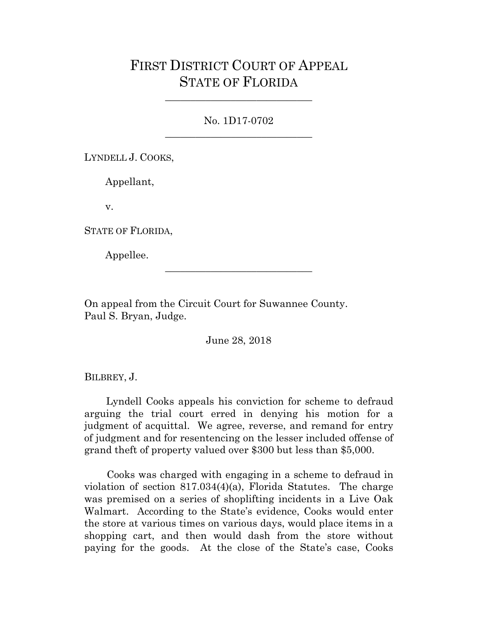## FIRST DISTRICT COURT OF APPEAL STATE OF FLORIDA

No. 1D17-0702 \_\_\_\_\_\_\_\_\_\_\_\_\_\_\_\_\_\_\_\_\_\_\_\_\_\_\_\_\_

\_\_\_\_\_\_\_\_\_\_\_\_\_\_\_\_\_\_\_\_\_\_\_\_\_\_\_\_\_

LYNDELL J. COOKS,

Appellant,

v.

STATE OF FLORIDA,

Appellee.

On appeal from the Circuit Court for Suwannee County. Paul S. Bryan, Judge.

June 28, 2018

\_\_\_\_\_\_\_\_\_\_\_\_\_\_\_\_\_\_\_\_\_\_\_\_\_\_\_\_\_

BILBREY, J.

 Lyndell Cooks appeals his conviction for scheme to defraud arguing the trial court erred in denying his motion for a judgment of acquittal. We agree, reverse, and remand for entry of judgment and for resentencing on the lesser included offense of grand theft of property valued over \$300 but less than \$5,000.

 Cooks was charged with engaging in a scheme to defraud in violation of section 817.034(4)(a), Florida Statutes. The charge was premised on a series of shoplifting incidents in a Live Oak Walmart. According to the State's evidence, Cooks would enter the store at various times on various days, would place items in a shopping cart, and then would dash from the store without paying for the goods. At the close of the State's case, Cooks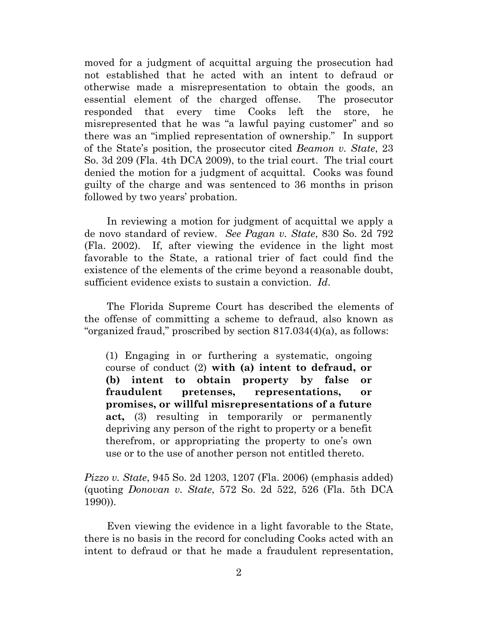moved for a judgment of acquittal arguing the prosecution had not established that he acted with an intent to defraud or otherwise made a misrepresentation to obtain the goods, an essential element of the charged offense. The prosecutor responded that every time Cooks left the store, he misrepresented that he was "a lawful paying customer" and so there was an "implied representation of ownership." In support of the State's position, the prosecutor cited *Beamon v. State*, 23 So. 3d 209 (Fla. 4th DCA 2009), to the trial court. The trial court denied the motion for a judgment of acquittal. Cooks was found guilty of the charge and was sentenced to 36 months in prison followed by two years' probation.

 In reviewing a motion for judgment of acquittal we apply a de novo standard of review. *See Pagan v. State*, 830 So. 2d 792 (Fla. 2002). If, after viewing the evidence in the light most favorable to the State, a rational trier of fact could find the existence of the elements of the crime beyond a reasonable doubt, sufficient evidence exists to sustain a conviction. *Id*.

 The Florida Supreme Court has described the elements of the offense of committing a scheme to defraud, also known as "organized fraud," proscribed by section 817.034(4)(a), as follows:

(1) Engaging in or furthering a systematic, ongoing course of conduct (2) **with (a) intent to defraud, or (b) intent to obtain property by false or fraudulent pretenses, representations, or promises, or willful misrepresentations of a future act,** (3) resulting in temporarily or permanently depriving any person of the right to property or a benefit therefrom, or appropriating the property to one's own use or to the use of another person not entitled thereto.

*Pizzo v. State*, 945 So. 2d 1203, 1207 (Fla. 2006) (emphasis added) (quoting *Donovan v. State*, 572 So. 2d 522, 526 (Fla. 5th DCA 1990)).

 Even viewing the evidence in a light favorable to the State, there is no basis in the record for concluding Cooks acted with an intent to defraud or that he made a fraudulent representation,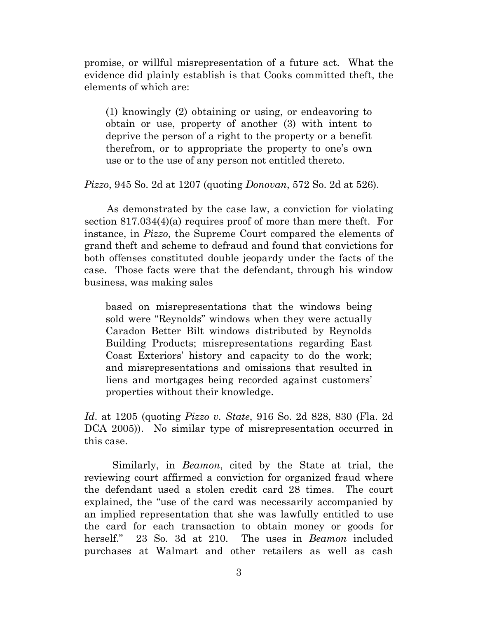promise, or willful misrepresentation of a future act. What the evidence did plainly establish is that Cooks committed theft, the elements of which are:

(1) knowingly (2) obtaining or using, or endeavoring to obtain or use, property of another (3) with intent to deprive the person of a right to the property or a benefit therefrom, or to appropriate the property to one's own use or to the use of any person not entitled thereto.

*Pizzo*, 945 So. 2d at 1207 (quoting *Donovan*, 572 So. 2d at 526).

 As demonstrated by the case law, a conviction for violating section 817.034(4)(a) requires proof of more than mere theft. For instance, in *Pizzo*, the Supreme Court compared the elements of grand theft and scheme to defraud and found that convictions for both offenses constituted double jeopardy under the facts of the case. Those facts were that the defendant, through his window business, was making sales

based on misrepresentations that the windows being sold were "Reynolds" windows when they were actually Caradon Better Bilt windows distributed by Reynolds Building Products; misrepresentations regarding East Coast Exteriors' history and capacity to do the work; and misrepresentations and omissions that resulted in liens and mortgages being recorded against customers' properties without their knowledge.

*Id*. at 1205 (quoting *Pizzo v. State*, 916 So. 2d 828, 830 (Fla. 2d DCA 2005)). No similar type of misrepresentation occurred in this case.

Similarly, in *Beamon*, cited by the State at trial, the reviewing court affirmed a conviction for organized fraud where the defendant used a stolen credit card 28 times. The court explained, the "use of the card was necessarily accompanied by an implied representation that she was lawfully entitled to use the card for each transaction to obtain money or goods for herself." 23 So. 3d at 210. The uses in *Beamon* included purchases at Walmart and other retailers as well as cash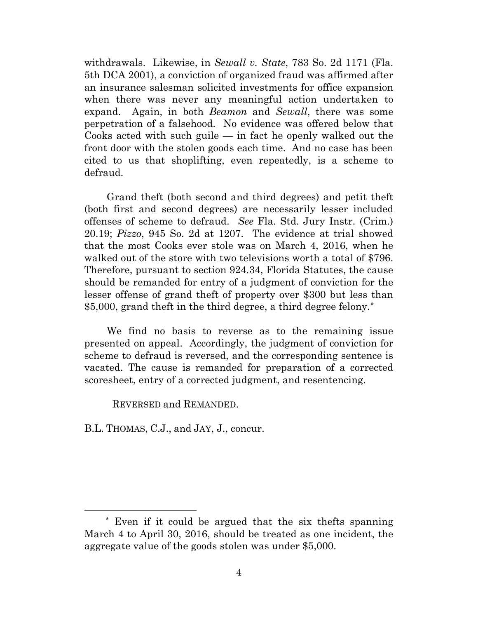withdrawals. Likewise, in *Sewall v. State*, 783 So. 2d 1171 (Fla. 5th DCA 2001), a conviction of organized fraud was affirmed after an insurance salesman solicited investments for office expansion when there was never any meaningful action undertaken to expand. Again, in both *Beamon* and *Sewall*, there was some perpetration of a falsehood. No evidence was offered below that Cooks acted with such guile  $-$  in fact he openly walked out the front door with the stolen goods each time. And no case has been cited to us that shoplifting, even repeatedly, is a scheme to defraud.

 Grand theft (both second and third degrees) and petit theft (both first and second degrees) are necessarily lesser included offenses of scheme to defraud. *See* Fla. Std. Jury Instr. (Crim.) 20.19; *Pizzo*, 945 So. 2d at 1207. The evidence at trial showed that the most Cooks ever stole was on March 4, 2016, when he walked out of the store with two televisions worth a total of \$796. Therefore, pursuant to section 924.34, Florida Statutes, the cause should be remanded for entry of a judgment of conviction for the lesser offense of grand theft of property over \$300 but less than \$5,000, grand theft in the third degree, a third degree felony.[\\*](#page-3-0) 

 We find no basis to reverse as to the remaining issue presented on appeal. Accordingly, the judgment of conviction for scheme to defraud is reversed, and the corresponding sentence is vacated. The cause is remanded for preparation of a corrected scoresheet, entry of a corrected judgment, and resentencing.

REVERSED and REMANDED.

B.L. THOMAS, C.J., and JAY, J., concur.

<span id="page-3-0"></span> <sup>\*</sup> Even if it could be argued that the six thefts spanning March 4 to April 30, 2016, should be treated as one incident, the aggregate value of the goods stolen was under \$5,000.